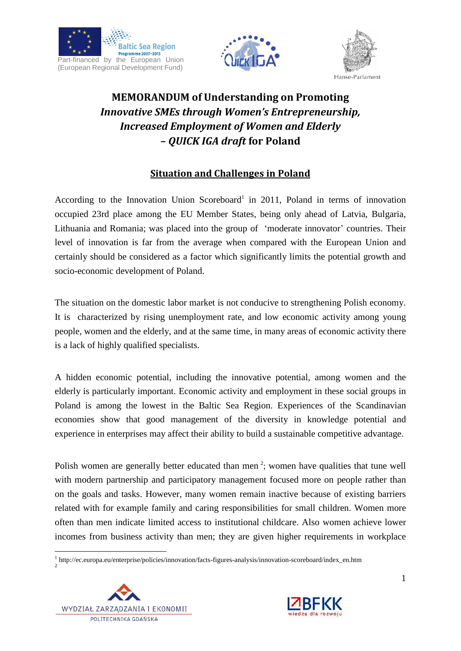





# **MEMORANDUM of Understanding on Promoting**  *Innovative SMEs through Women's Entrepreneurship, Increased Employment of Women and Elderly – QUICK IGA draft* **for Poland**

## **Situation and Challenges in Poland**

According to the Innovation Union Scoreboard<sup>1</sup> in 2011, Poland in terms of innovation occupied 23rd place among the EU Member States, being only ahead of Latvia, Bulgaria, Lithuania and Romania; was placed into the group of 'moderate innovator' countries. Their level of innovation is far from the average when compared with the European Union and certainly should be considered as a factor which significantly limits the potential growth and socio-economic development of Poland.

The situation on the domestic labor market is not conducive to strengthening Polish economy. It is characterized by rising unemployment rate, and low economic activity among young people, women and the elderly, and at the same time, in many areas of economic activity there is a lack of highly qualified specialists.

A hidden economic potential, including the innovative potential, among women and the elderly is particularly important. Economic activity and employment in these social groups in Poland is among the lowest in the Baltic Sea Region. Experiences of the Scandinavian economies show that good management of the diversity in knowledge potential and experience in enterprises may affect their ability to build a sustainable competitive advantage.

Polish women are generally better educated than men<sup>2</sup>; women have qualities that tune well with modern partnership and participatory management focused more on people rather than on the goals and tasks. However, many women remain inactive because of existing barriers related with for example family and caring responsibilities for small children. Women more often than men indicate limited access to institutional childcare. Also women achieve lower incomes from business activity than men; they are given higher requirements in workplace

<sup>1</sup> http://ec.europa.eu/enterprise/policies/innovation/facts-figures-analysis/innovation-scoreboard/index\_en.htm 2



1

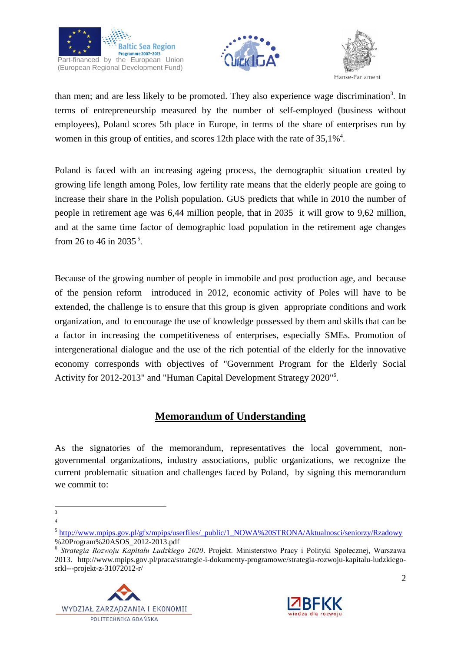





than men; and are less likely to be promoted. They also experience wage discrimination<sup>3</sup>. In terms of entrepreneurship measured by the number of self-employed (business without employees), Poland scores 5th place in Europe, in terms of the share of enterprises run by women in this group of entities, and scores 12th place with the rate of  $35,1\%$ <sup>4</sup>.

Poland is faced with an increasing ageing process, the demographic situation created by growing life length among Poles, low fertility rate means that the elderly people are going to increase their share in the Polish population. GUS predicts that while in 2010 the number of people in retirement age was 6,44 million people, that in 2035 it will grow to 9,62 million, and at the same time factor of demographic load population in the retirement age changes from 26 to 46 in 2035<sup>5</sup>.

Because of the growing number of people in immobile and post production age, and because of the pension reform introduced in 2012, economic activity of Poles will have to be extended, the challenge is to ensure that this group is given appropriate conditions and work organization, and to encourage the use of knowledge possessed by them and skills that can be a factor in increasing the competitiveness of enterprises, especially SMEs. Promotion of intergenerational dialogue and the use of the rich potential of the elderly for the innovative economy corresponds with objectives of "Government Program for the Elderly Social Activity for 2012-2013" and "Human Capital Development Strategy 2020"<sup>6</sup>.

## **Memorandum of Understanding**

As the signatories of the memorandum, representatives the local government, nongovernmental organizations, industry associations, public organizations, we recognize the current problematic situation and challenges faced by Poland, by signing this memorandum we commit to:

<sup>6</sup> *Strategia Rozwoju Kapitału Ludzkiego 2020*. Projekt. Ministerstwo Pracy i Polityki Społecznej, Warszawa 2013. http://www.mpips.gov.pl/praca/strategie-i-dokumenty-programowe/strategia-rozwoju-kapitalu-ludzkiegosrkl---projekt-z-31072012-r/





 $\frac{1}{3}$ 4

<sup>&</sup>lt;sup>5</sup> [http://www.mpips.gov.pl/gfx/mpips/userfiles/\\_public/1\\_NOWA%20STRONA/Aktualnosci/seniorzy/Rzadowy](http://www.mpips.gov.pl/gfx/mpips/userfiles/_public/1_NOWA%20STRONA/Aktualnosci/seniorzy/Rzadowy) %20Program%20ASOS\_2012-2013.pdf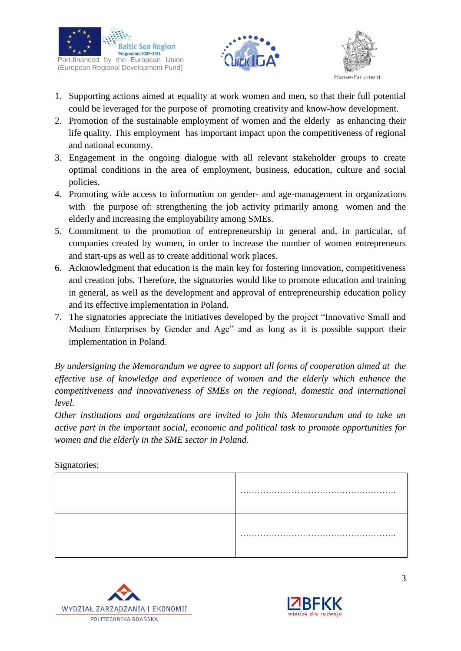





- 1. Supporting actions aimed at equality at work women and men, so that their full potential could be leveraged for the purpose of promoting creativity and know-how development.
- 2. Promotion of the sustainable employment of women and the elderly as enhancing their life quality. This employment has important impact upon the competitiveness of regional and national economy.
- 3. Engagement in the ongoing dialogue with all relevant stakeholder groups to create optimal conditions in the area of employment, business, education, culture and social policies.
- 4. Promoting wide access to information on gender- and age-management in organizations with the purpose of: strengthening the job activity primarily among women and the elderly and increasing the employability among SMEs.
- 5. Commitment to the promotion of entrepreneurship in general and, in particular, of companies created by women, in order to increase the number of women entrepreneurs and start-ups as well as to create additional work places.
- 6. Acknowledgment that education is the main key for fostering innovation, competitiveness and creation jobs. Therefore, the signatories would like to promote education and training in general, as well as the development and approval of entrepreneurship education policy and its effective implementation in Poland.
- 7. The signatories appreciate the initiatives developed by the project "Innovative Small and Medium Enterprises by Gender and Age" and as long as it is possible support their implementation in Poland.

*By undersigning the Memorandum we agree to support all forms of cooperation aimed at the effective use of knowledge and experience of women and the elderly which enhance the competitiveness and innovativeness of SMEs on the regional, domestic and international level.*

*Other institutions and organizations are invited to join this Memorandum and to take an active part in the important social, economic and political task to promote opportunities for women and the elderly in the SME sector in Poland.*

#### Signatories:



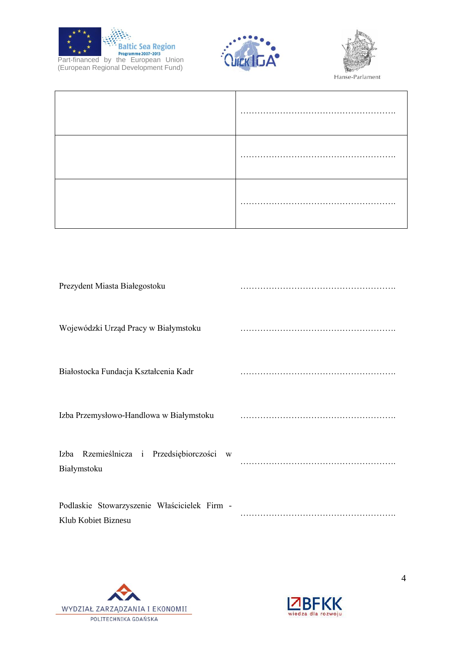





Hanse-Parlament

| .<br>$\ddot{\phantom{0}}$ |
|---------------------------|
|                           |

| Prezydent Miasta Białegostoku                                       |  |
|---------------------------------------------------------------------|--|
| Wojewódzki Urząd Pracy w Białymstoku                                |  |
| Białostocka Fundacja Kształcenia Kadr                               |  |
| Izba Przemysłowo-Handlowa w Białymstoku                             |  |
| Izba Rzemieślnicza i Przedsiębiorczości<br>W<br>Białymstoku         |  |
| Podlaskie Stowarzyszenie Właścicielek Firm -<br>Klub Kobiet Biznesu |  |



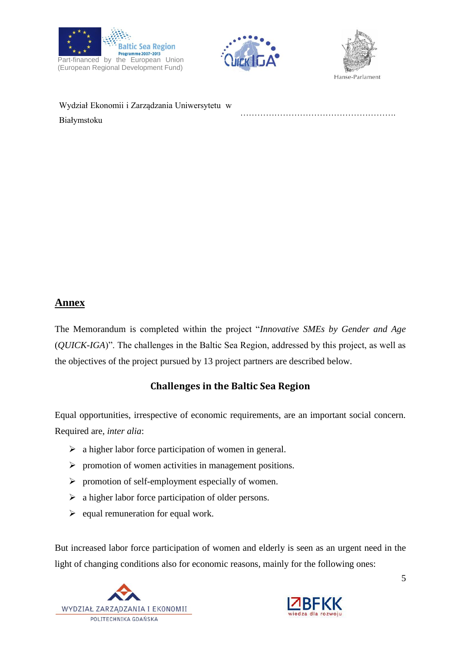





……………………………………………….

Wydział Ekonomii i Zarządzania Uniwersytetu w Białymstoku

## **Annex**

The Memorandum is completed within the project "*Innovative SMEs by Gender and Age* (*QUICK-IGA*)". The challenges in the Baltic Sea Region, addressed by this project, as well as the objectives of the project pursued by 13 project partners are described below.

## **Challenges in the Baltic Sea Region**

Equal opportunities, irrespective of economic requirements, are an important social concern. Required are, *inter alia*:

- $\triangleright$  a higher labor force participation of women in general.
- $\triangleright$  promotion of women activities in management positions.
- $\triangleright$  promotion of self-employment especially of women.
- $\triangleright$  a higher labor force participation of older persons.
- $\triangleright$  equal remuneration for equal work.

But increased labor force participation of women and elderly is seen as an urgent need in the light of changing conditions also for economic reasons, mainly for the following ones:





5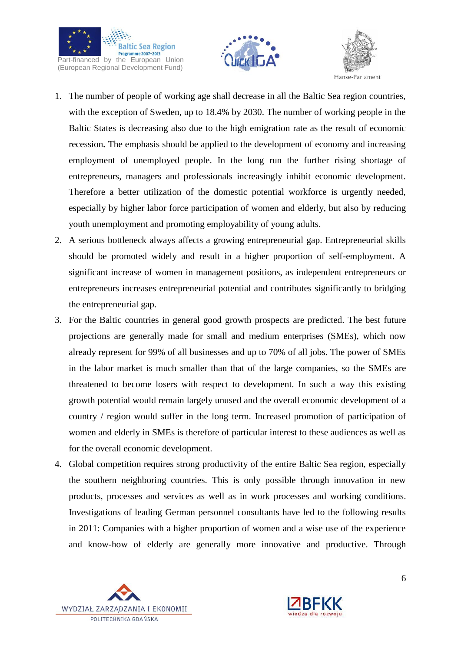





- 1. The number of people of working age shall decrease in all the Baltic Sea region countries, with the exception of Sweden, up to 18.4% by 2030. The number of working people in the Baltic States is decreasing also due to the high emigration rate as the result of economic recession**.** The emphasis should be applied to the development of economy and increasing employment of unemployed people. In the long run the further rising shortage of entrepreneurs, managers and professionals increasingly inhibit economic development. Therefore a better utilization of the domestic potential workforce is urgently needed, especially by higher labor force participation of women and elderly, but also by reducing youth unemployment and promoting employability of young adults.
- 2. A serious bottleneck always affects a growing entrepreneurial gap. Entrepreneurial skills should be promoted widely and result in a higher proportion of self-employment. A significant increase of women in management positions, as independent entrepreneurs or entrepreneurs increases entrepreneurial potential and contributes significantly to bridging the entrepreneurial gap.
- 3. For the Baltic countries in general good growth prospects are predicted. The best future projections are generally made for small and medium enterprises (SMEs), which now already represent for 99% of all businesses and up to 70% of all jobs. The power of SMEs in the labor market is much smaller than that of the large companies, so the SMEs are threatened to become losers with respect to development. In such a way this existing growth potential would remain largely unused and the overall economic development of a country / region would suffer in the long term. Increased promotion of participation of women and elderly in SMEs is therefore of particular interest to these audiences as well as for the overall economic development.
- 4. Global competition requires strong productivity of the entire Baltic Sea region, especially the southern neighboring countries. This is only possible through innovation in new products, processes and services as well as in work processes and working conditions. Investigations of leading German personnel consultants have led to the following results in 2011: Companies with a higher proportion of women and a wise use of the experience and know-how of elderly are generally more innovative and productive. Through



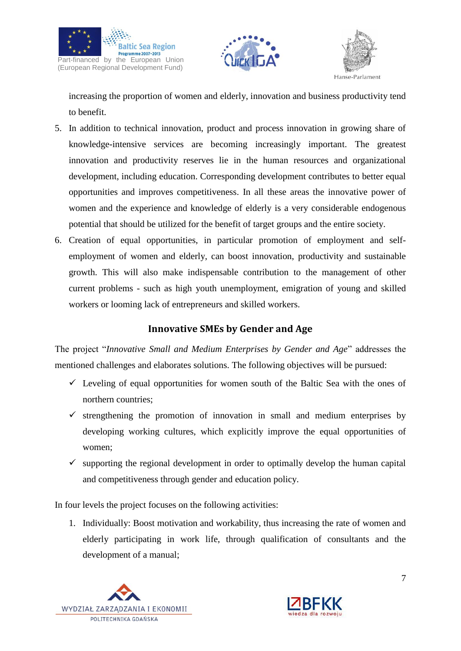





increasing the proportion of women and elderly, innovation and business productivity tend to benefit.

- 5. In addition to technical innovation, product and process innovation in growing share of knowledge-intensive services are becoming increasingly important. The greatest innovation and productivity reserves lie in the human resources and organizational development, including education. Corresponding development contributes to better equal opportunities and improves competitiveness. In all these areas the innovative power of women and the experience and knowledge of elderly is a very considerable endogenous potential that should be utilized for the benefit of target groups and the entire society.
- 6. Creation of equal opportunities, in particular promotion of employment and selfemployment of women and elderly, can boost innovation, productivity and sustainable growth. This will also make indispensable contribution to the management of other current problems - such as high youth unemployment, emigration of young and skilled workers or looming lack of entrepreneurs and skilled workers.

### **Innovative SMEs by Gender and Age**

The project "*Innovative Small and Medium Enterprises by Gender and Age*" addresses the mentioned challenges and elaborates solutions. The following objectives will be pursued:

- $\checkmark$  Leveling of equal opportunities for women south of the Baltic Sea with the ones of northern countries;
- $\checkmark$  strengthening the promotion of innovation in small and medium enterprises by developing working cultures, which explicitly improve the equal opportunities of women;
- $\checkmark$  supporting the regional development in order to optimally develop the human capital and competitiveness through gender and education policy.

In four levels the project focuses on the following activities:

1. Individually: Boost motivation and workability, thus increasing the rate of women and elderly participating in work life, through qualification of consultants and the development of a manual;